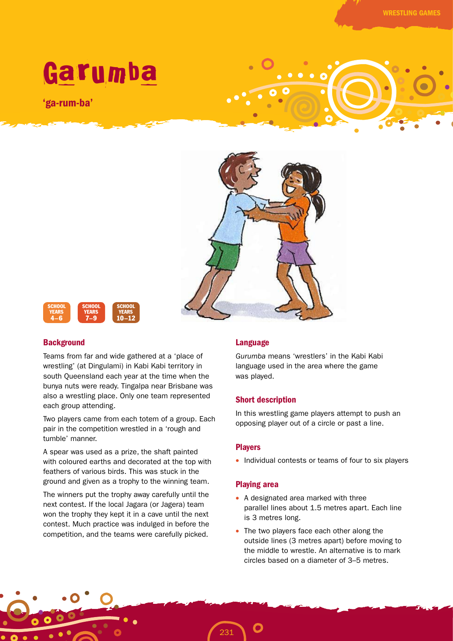

'ga-rum-ba'





### **Background**

Teams from far and wide gathered at a 'place of wrestling' (at Dingulami) in Kabi Kabi territory in south Queensland each year at the time when the bunya nuts were ready. Tingalpa near Brisbane was also a wrestling place. Only one team represented each group attending.

Two players came from each totem of a group. Each pair in the competition wrestled in a 'rough and tumble' manner.

A spear was used as a prize, the shaft painted with coloured earths and decorated at the top with feathers of various birds. This was stuck in the ground and given as a trophy to the winning team.

The winners put the trophy away carefully until the next contest. If the local Jagara (or Jagera) team won the trophy they kept it in a cave until the next contest. Much practice was indulged in before the competition, and the teams were carefully picked.

### Language

*Gurumba* means 'wrestlers' in the Kabi Kabi language used in the area where the game was played.

### Short description

In this wrestling game players attempt to push an opposing player out of a circle or past a line.

# **Players**

• Individual contests or teams of four to six players

#### Playing area

231

- A designated area marked with three parallel lines about 1.5 metres apart. Each line is 3 metres long.
- The two players face each other along the outside lines (3 metres apart) before moving to the middle to wrestle. An alternative is to mark circles based on a diameter of 3–5 metres.

WRESTLING GAMES